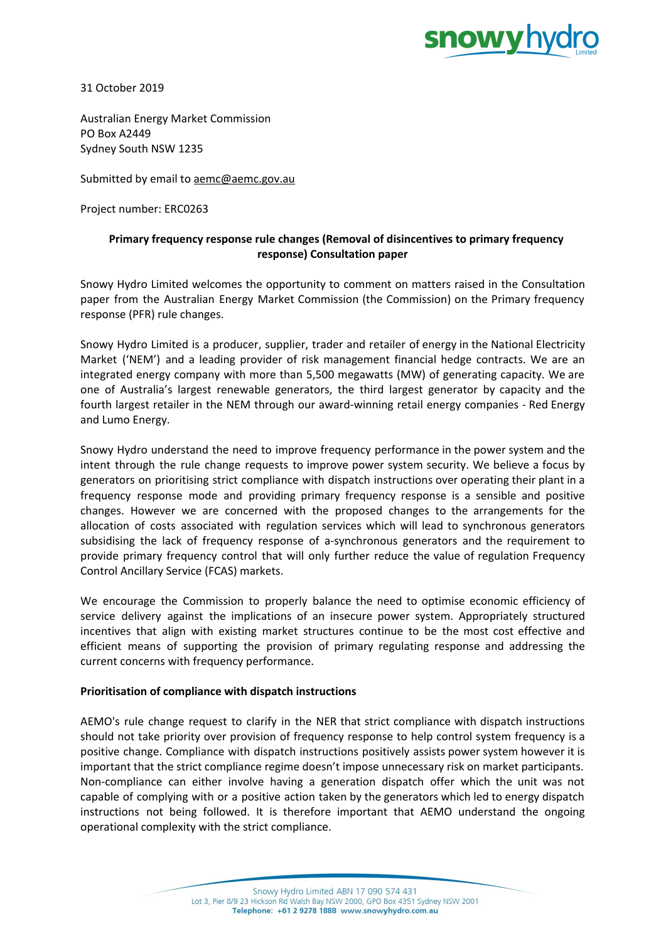

31 October 2019

Australian Energy Market Commission PO Box A2449 Sydney South NSW 1235

Submitted by email to [aemc@aemc.gov.au](mailto:aemc@aemc.gov.au)

Project number: ERC0263

## **Primary frequency response rule changes (Removal of disincentives to primary frequency response) Consultation paper**

Snowy Hydro Limited welcomes the opportunity to comment on matters raised in the Consultation paper from the Australian Energy Market Commission (the Commission) on the Primary frequency response (PFR) rule changes.

Snowy Hydro Limited is a producer, supplier, trader and retailer of energy in the National Electricity Market ('NEM') and a leading provider of risk management financial hedge contracts. We are an integrated energy company with more than 5,500 megawatts (MW) of generating capacity. We are one of Australia's largest renewable generators, the third largest generator by capacity and the fourth largest retailer in the NEM through our award-winning retail energy companies - Red Energy and Lumo Energy.

Snowy Hydro understand the need to improve frequency performance in the power system and the intent through the rule change requests to improve power system security. We believe a focus by generators on prioritising strict compliance with dispatch instructions over operating their plant in a frequency response mode and providing primary frequency response is a sensible and positive changes. However we are concerned with the proposed changes to the arrangements for the allocation of costs associated with regulation services which will lead to synchronous generators subsidising the lack of frequency response of a-synchronous generators and the requirement to provide primary frequency control that will only further reduce the value of regulation Frequency Control Ancillary Service (FCAS) markets.

We encourage the Commission to properly balance the need to optimise economic efficiency of service delivery against the implications of an insecure power system. Appropriately structured incentives that align with existing market structures continue to be the most cost effective and efficient means of supporting the provision of primary regulating response and addressing the current concerns with frequency performance.

## **Prioritisation of compliance with dispatch instructions**

AEMO's rule change request to clarify in the NER that strict compliance with dispatch instructions should not take priority over provision of frequency response to help control system frequency is a positive change. Compliance with dispatch instructions positively assists power system however it is important that the strict compliance regime doesn't impose unnecessary risk on market participants. Non-compliance can either involve having a generation dispatch offer which the unit was not capable of complying with or a positive action taken by the generators which led to energy dispatch instructions not being followed. It is therefore important that AEMO understand the ongoing operational complexity with the strict compliance.